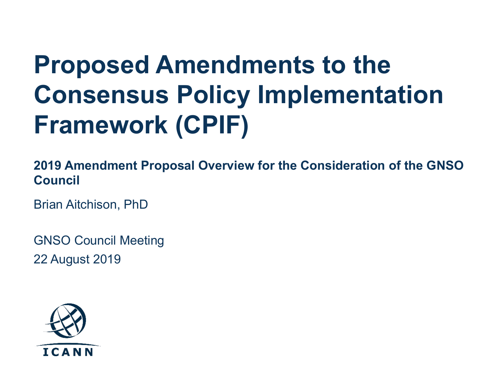# **Proposed Amendments to the Consensus Policy Implementation Framework (CPIF)**

**2019 Amendment Proposal Overview for the Consideration of the GNSO Council** 

Brian Aitchison, PhD

GNSO Council Meeting 22 August 2019

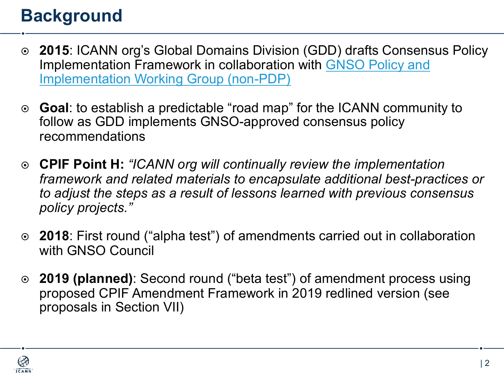## **Background**

- ¤ **2015**: ICANN org's Global Domains Division (GDD) drafts Consensus Policy [Implementation Framework in collaboration with GNSO Policy and](https://gnso.icann.org/en/group-activities/inactive/2015/policy-implementation)  Implementation Working Group (non-PDP)
- ¤ **Goal**: to establish a predictable "road map" for the ICANN community to follow as GDD implements GNSO-approved consensus policy recommendations
- ¤ **CPIF Point H:** *"ICANN org will continually review the implementation framework and related materials to encapsulate additional best-practices or to adjust the steps as a result of lessons learned with previous consensus policy projects."*
- ¤ **2018**: First round ("alpha test") of amendments carried out in collaboration with GNSO Council
- ¤ **2019 (planned)**: Second round ("beta test") of amendment process using proposed CPIF Amendment Framework in 2019 redlined version (see proposals in Section VII)

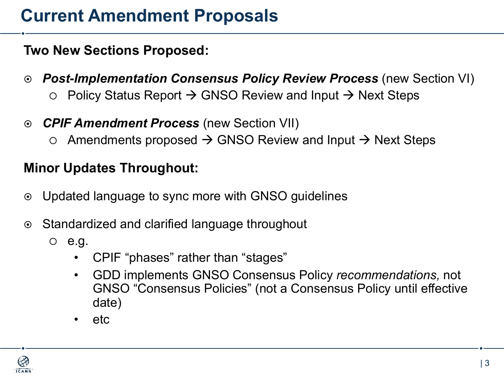## **Current Amendment Proposals**

#### **Two New Sections Proposed:**

- ¤ *Post-Implementation Consensus Policy Review Process* (new Section VI)  $\circ$  Policy Status Report  $\rightarrow$  GNSO Review and Input  $\rightarrow$  Next Steps
- ¤ *CPIF Amendment Process* (new Section VII)
	- $\circ$  Amendments proposed  $\rightarrow$  GNSO Review and Input  $\rightarrow$  Next Steps

#### **Minor Updates Throughout:**

- Updated language to sync more with GNSO guidelines
- Standardized and clarified language throughout
	- $\circ$  e.g.
		- CPIF "phases" rather than "stages"
		- GDD implements GNSO Consensus Policy *recommendations,* not GNSO "Consensus Policies" (not a Consensus Policy until effective date)
		- etc

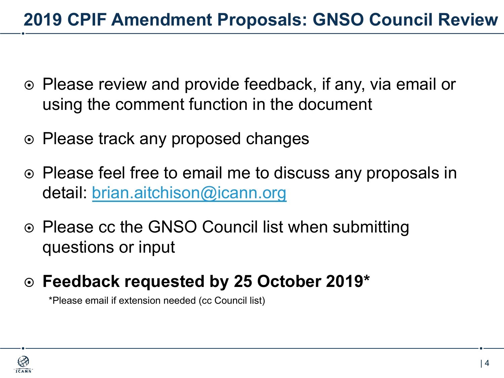## **2019 CPIF Amendment Proposals: GNSO Council Review**

- ⊙ Please review and provide feedback, if any, via email or using the comment function in the document
- **Please track any proposed changes**
- $\odot$  Please feel free to email me to discuss any proposals in detail: [brian.aitchison@icann.org](mailto:brian.aitchison@icann.org)
- ⊙ Please cc the GNSO Council list when submitting questions or input
- ¤ **Feedback requested by 25 October 2019\***

\*Please email if extension needed (cc Council list)